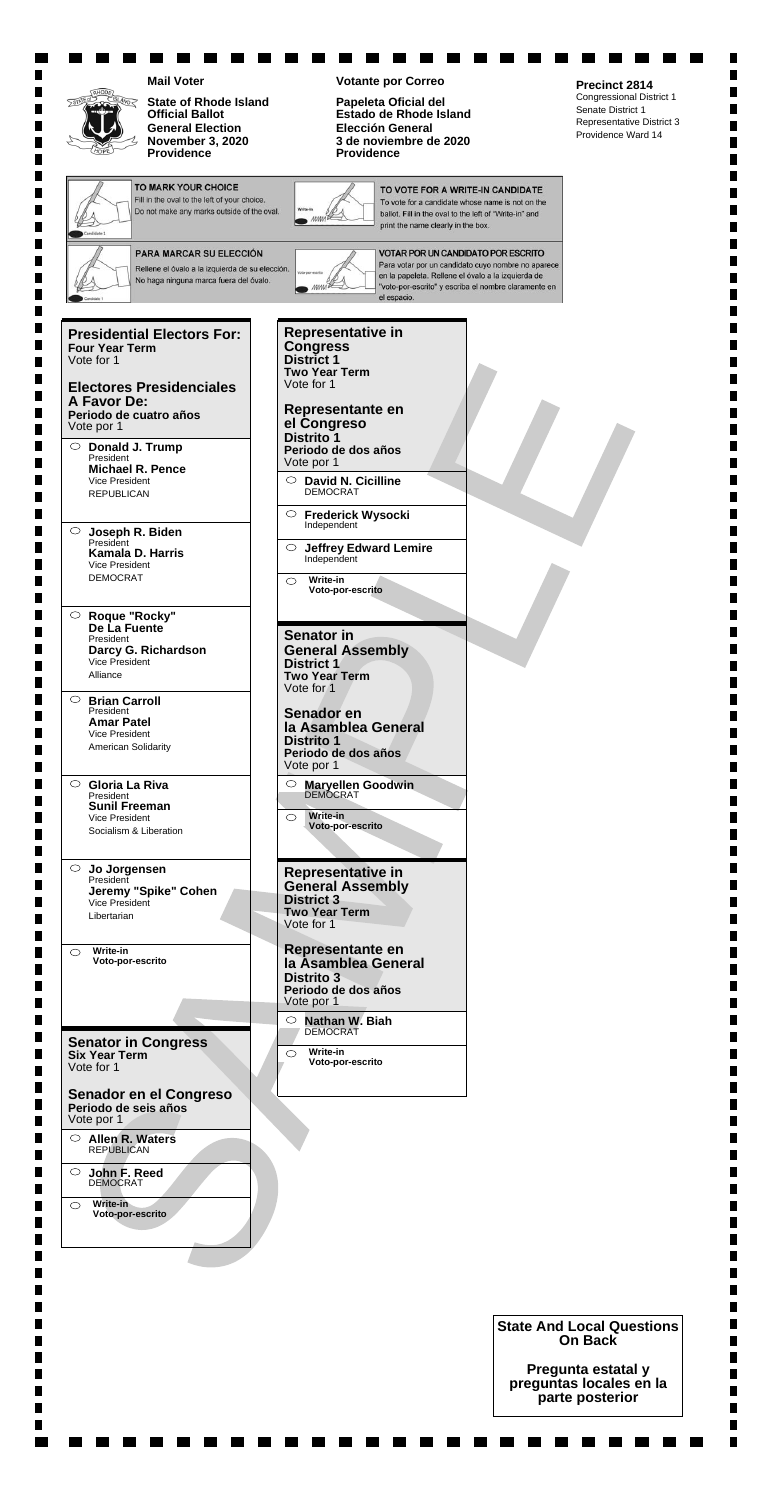|                                                                                                                          | <b>Mail Voter</b>                                                                                                                 | <b>Votante por Correo</b><br>Precinct 2814                                                                                                                                                                                   |                                                                                           |
|--------------------------------------------------------------------------------------------------------------------------|-----------------------------------------------------------------------------------------------------------------------------------|------------------------------------------------------------------------------------------------------------------------------------------------------------------------------------------------------------------------------|-------------------------------------------------------------------------------------------|
|                                                                                                                          | <b>State of Rhode Island</b><br><b>Official Ballot</b><br><b>General Election</b><br><b>November 3, 2020</b><br><b>Providence</b> | Papeleta Oficial del<br>Senate District 1<br>Estado de Rhode Island<br><b>Elección General</b><br>3 de noviembre de 2020<br><b>Providence</b>                                                                                | <b>Congressional District 1</b><br><b>Representative District 3</b><br>Providence Ward 14 |
|                                                                                                                          | <b>TO MARK YOUR CHOICE</b><br>Fill in the oval to the left of your choice.<br>Do not make any marks outside of the oval.          | TO VOTE FOR A WRITE-IN CANDIDATE<br>To vote for a candidate whose name is not on the<br>ballot. Fill in the oval to the left of "Write-in" and<br>print the name clearly in the box.                                         |                                                                                           |
|                                                                                                                          | PARA MARCAR SU ELECCIÓN<br>Rellene el óvalo a la izquierda de su elección.<br>No haga ninguna marca fuera del óvalo.              | <b>VOTAR POR UN CANDIDATO POR ESCRITO</b><br>Para votar por un candidato cuyo nombre no aparece<br>en la papeleta. Rellene el óvalo a la izquierda de<br>"voto-por-escrito" y escriba el nombre claramente en<br>el espacio. |                                                                                           |
| <b>Four Year Term</b><br>Vote for 1<br>A Favor De:<br>Vote por 1                                                         | <b>Presidential Electors For:</b><br><b>Electores Presidenciales</b><br>Periodo de cuatro años                                    | <b>Representative in</b><br><b>Congress</b><br>District 1<br><b>Two Year Term</b><br>Vote for 1<br>Representante en<br>el Congreso                                                                                           |                                                                                           |
| $\circ$<br>President<br>Vice President<br><b>REPUBLICAN</b>                                                              | Donald J. Trump<br><b>Michael R. Pence</b>                                                                                        | Distrito <sub>1</sub><br>Periodo de dos años<br>Vote por 1<br>$\circ$ David N. Cicilline<br><b>DEMOCRAT</b>                                                                                                                  |                                                                                           |
| President<br><b>Vice President</b><br><b>DEMOCRAT</b>                                                                    | Joseph R. Biden<br><b>Kamala D. Harris</b>                                                                                        | <b>Frederick Wysocki</b><br>$\circ$<br>Independent<br><b>Jeffrey Edward Lemire</b><br>$\circ$<br>Independent<br>Write-in<br>Voto-por-escrito                                                                                 |                                                                                           |
| Roque "Rocky"<br>$\circ$<br>De La Fuente<br>President<br>Vice President<br>Alliance                                      | Darcy G. Richardson                                                                                                               | <b>Senator in</b><br><b>General Assembly</b><br><b>District 1</b><br><b>Two Year Term</b><br>Vote for 1                                                                                                                      |                                                                                           |
| $\circ$<br><b>Brian Carroll</b><br>President<br><b>Amar Patel</b><br><b>Vice President</b><br><b>American Solidarity</b> |                                                                                                                                   | Senador en<br>la Asamblea General<br><b>Distrito 1</b><br>Periodo de dos años<br>Vote por 1                                                                                                                                  |                                                                                           |
| $\circ$ Gloria La Riva<br>President<br><b>Sunil Freeman</b><br>Vice President                                            | Socialism & Liberation                                                                                                            | Maryellen Goodwin<br>$\circ$<br><b>Write-in</b><br>$\circ$<br>Voto-por-escrito                                                                                                                                               |                                                                                           |
| $\circ$<br>Jo Jorgensen<br>President<br><b>Vice President</b><br>Libertarian                                             | Jeremy "Spike" Cohen                                                                                                              | Representative in<br><b>General Assembly</b><br><b>District 3</b><br><b>Two Year Term</b><br>Vote for 1                                                                                                                      |                                                                                           |
| Write-in<br>$\circlearrowright$<br>Voto-por-escrito                                                                      |                                                                                                                                   | Representante en<br>la Asamblea General<br><b>Distrito 3</b><br>Periodo de dos años                                                                                                                                          |                                                                                           |
|                                                                                                                          |                                                                                                                                   | Vote por 1<br>Nathan W. Biah                                                                                                                                                                                                 |                                                                                           |

-----------

---------

 $\blacksquare$ 

 $\blacksquare$  $\blacksquare$ 

 $\blacksquare$ 

 $\blacksquare$ 

 $\blacksquare$ 

 $\blacksquare$ 

 $\blacksquare$  $\blacksquare$ 

 $\blacksquare$ 

 $\blacksquare$ 

 $\blacksquare$ 

 $\blacksquare$ 

 $\blacksquare$ 

 $\blacksquare$ 

 $\blacksquare$ 

 $\blacksquare$ 

 $\blacksquare$ 

 $\blacksquare$ 

 $\blacksquare$  $\blacksquare$